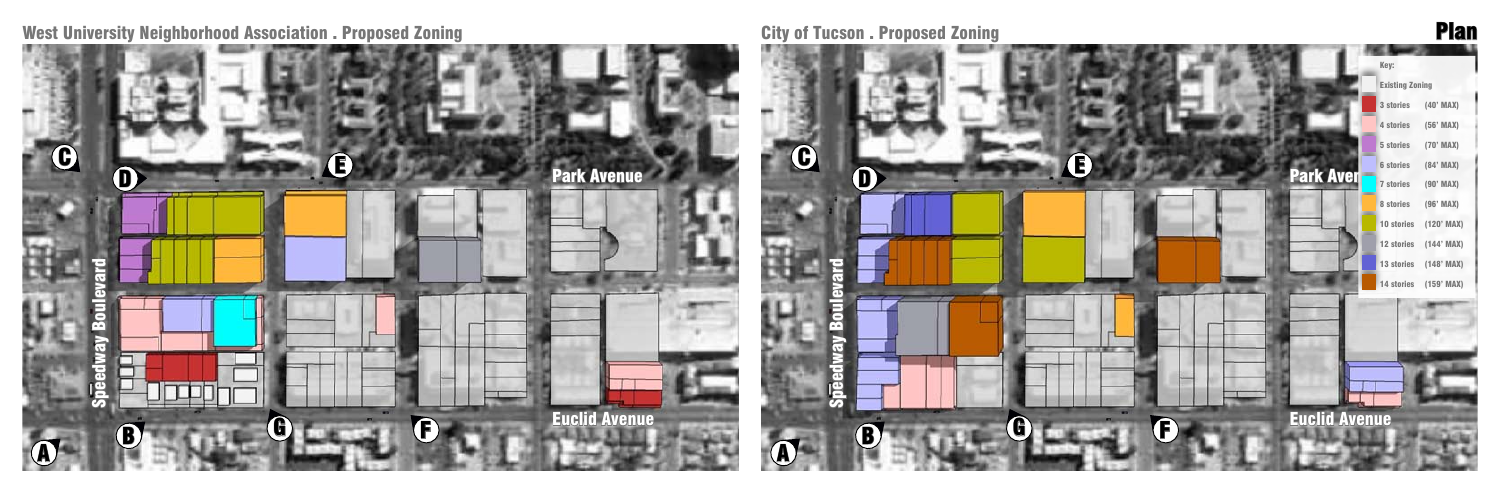West University Neighborhood Association . Proposed Zoning City of Tucson . Proposed Zoning Plan



| Key:                                 |              |
|--------------------------------------|--------------|
| <b>Existing Zoning</b>               |              |
| 3 stories                            | (40' MAX)    |
| 4 stories                            | (56' MAX)    |
| 5 stories                            | (70' MAX)    |
| <b>6</b> stories                     | (84' MAX)    |
| <b>Park Aver</b><br><b>7</b> stories | (90' MAX)    |
| 8 stories                            | (96' MAX)    |
| 10 stories                           | $(120'$ MAX) |
| 12 stories                           | $(144'$ MAX) |
| 13 stories                           | $(148'$ MAX) |
| 14 stories                           | $(159'$ MAX) |
|                                      |              |
|                                      |              |
|                                      |              |
|                                      |              |
|                                      |              |
|                                      |              |
| <b>Euclid Avenue</b><br>Ē            |              |
|                                      |              |

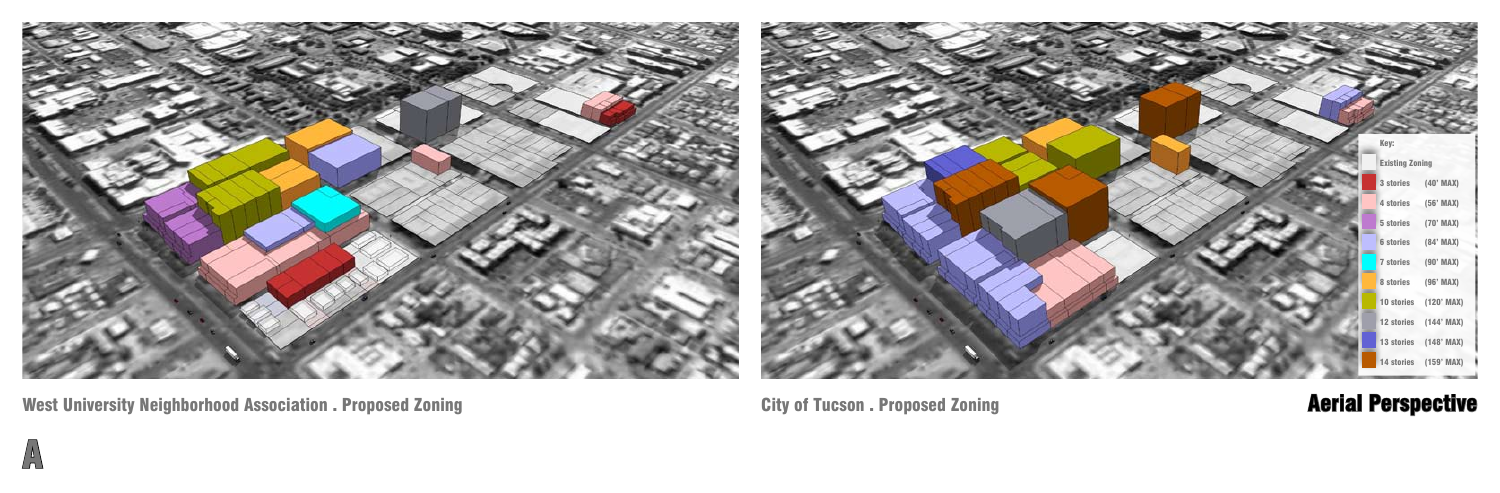

A

City of Tucson . Proposed Zoning **Aerial Perspective** 

| Key:                   |                       |  |
|------------------------|-----------------------|--|
| <b>Existing Zoning</b> |                       |  |
| 3 stories              | (40' MAX)             |  |
| 4 stories              | (56' MAX)             |  |
| 5 stories              | (70' MAX)             |  |
| <b>6</b> stories       | (84' MAX)             |  |
| <b>7 stories</b>       | $(90'$ MAX)           |  |
| 8 stories              | (96' MAX)             |  |
| 10 stories             | $(120'$ MAX)          |  |
| 12 stories             | $(144'$ MAX)          |  |
|                        | 13 stories (148' MAX) |  |
| 14 stories             | $(159'$ MAX)          |  |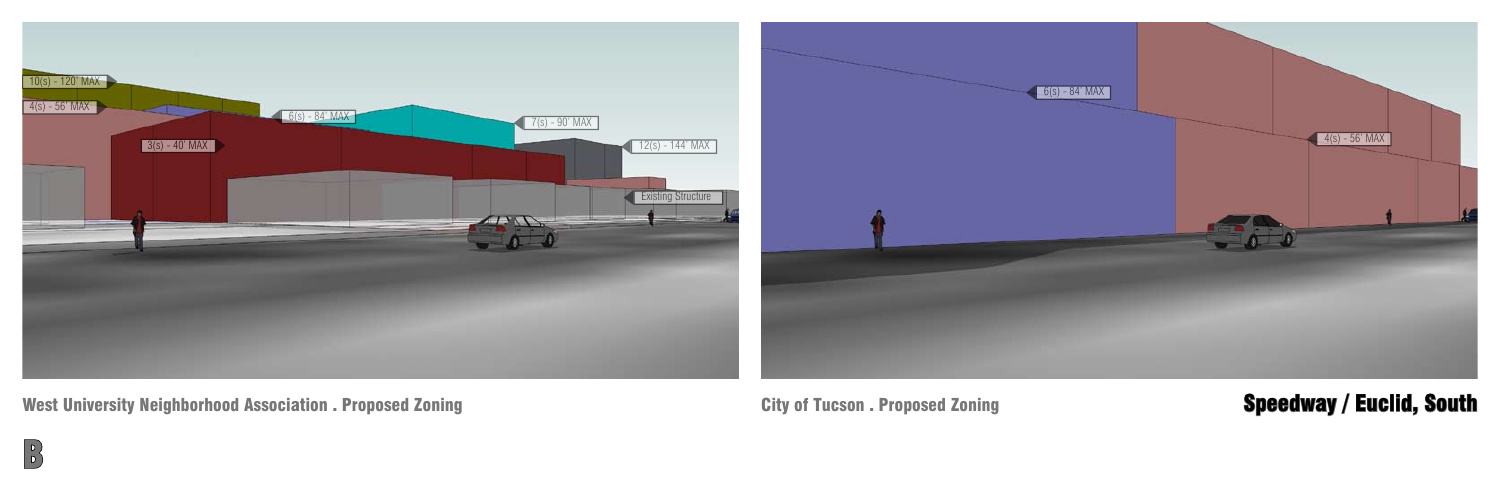$\begin{bmatrix} 1 \\ 0 \end{bmatrix}$ 

# City of Tucson . Proposed Zoning **Speedway / Euclid, South**



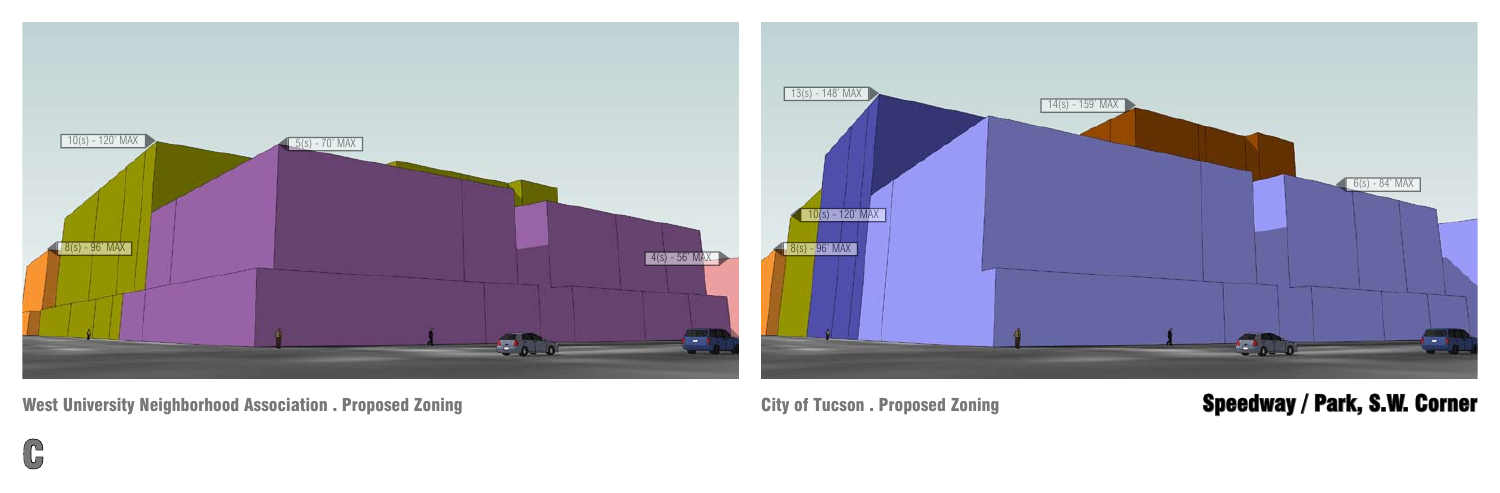G

# City of Tucson . Proposed Zoning **Speedway / Park, S.W. Corner**

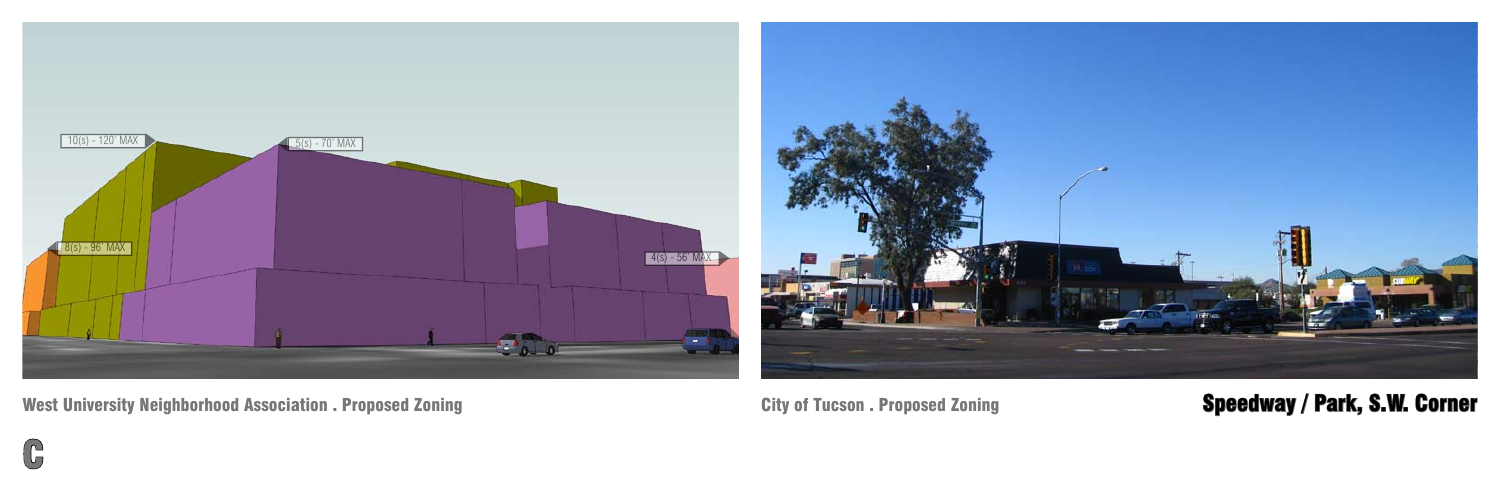$\mathbb{G}$ 

# City of Tucson . Proposed Zoning **Speedway / Park, S.W. Corner**

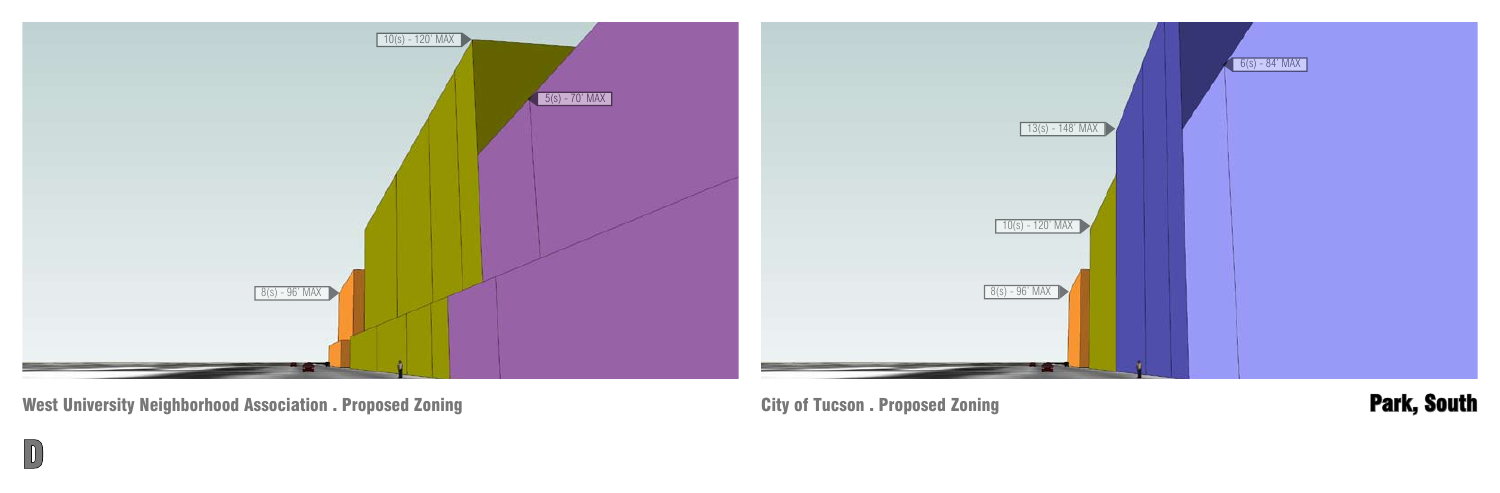$\boxed{0}$ 

City of Tucson . Proposed Zoning **Park, South** 



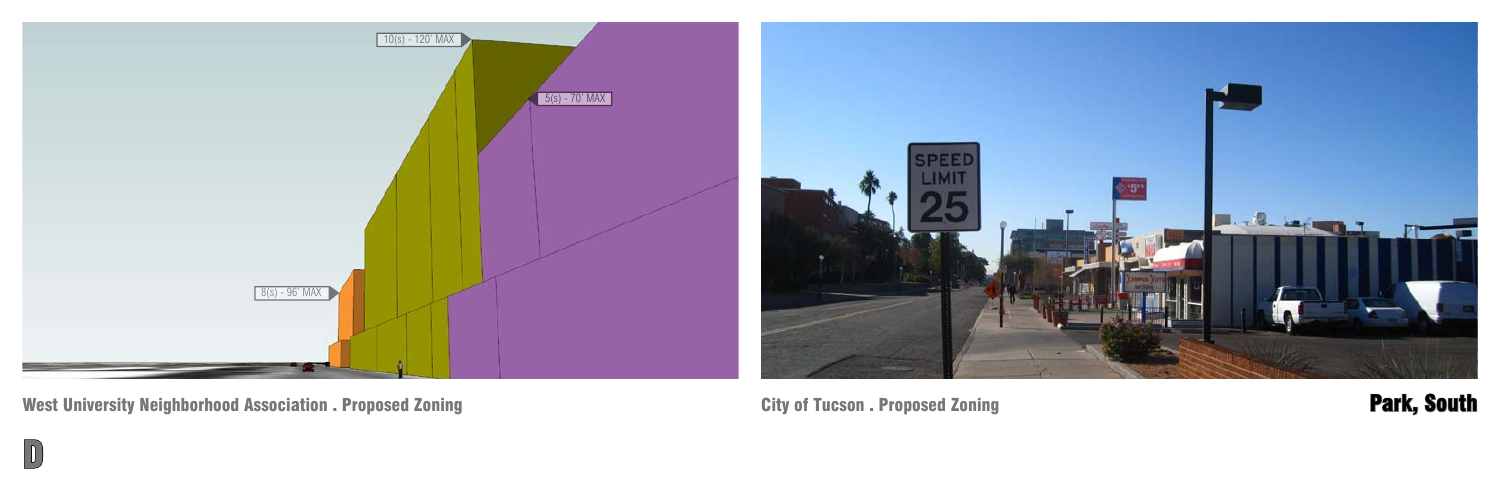$\boxed{D}$ 

City of Tucson . Proposed Zoning **Park, South** 

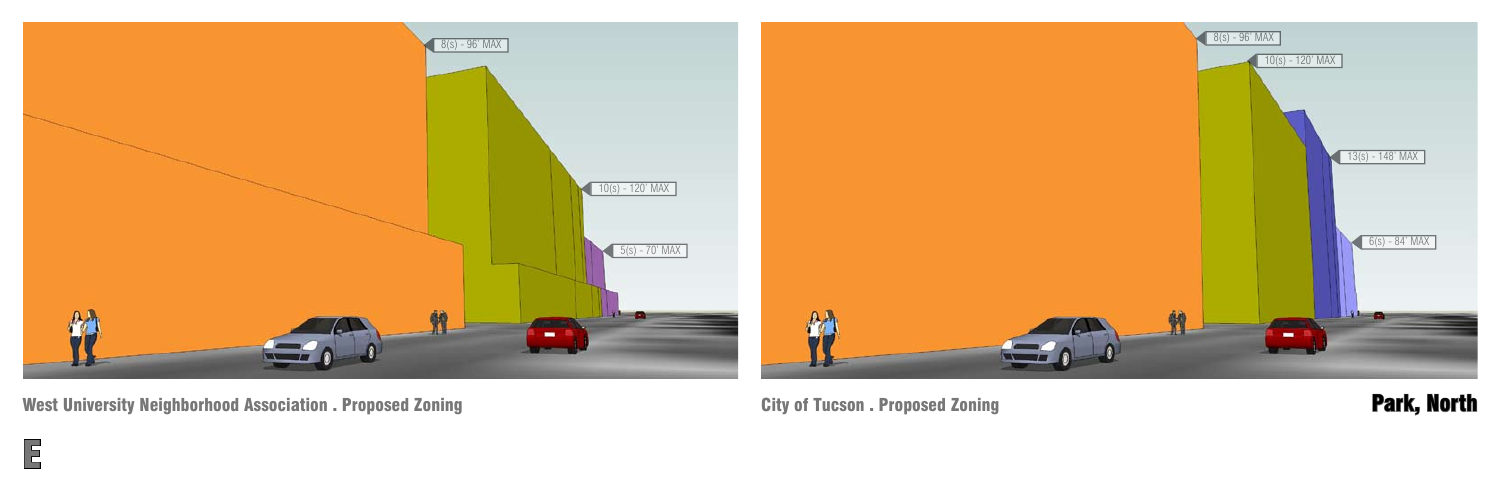E

City of Tucson . Proposed Zoning **Park, North** 

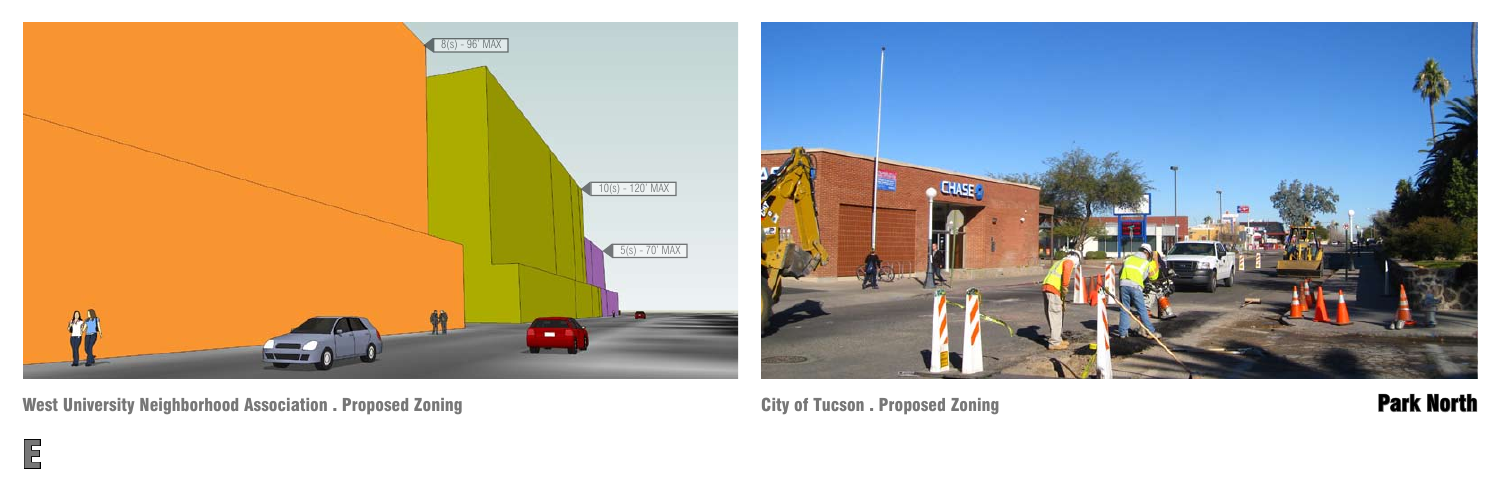E

City of Tucson . Proposed Zoning Park North 2018 1999 and 2018 1999 and 2019 and 2019 and 2019 and 2019 and 20



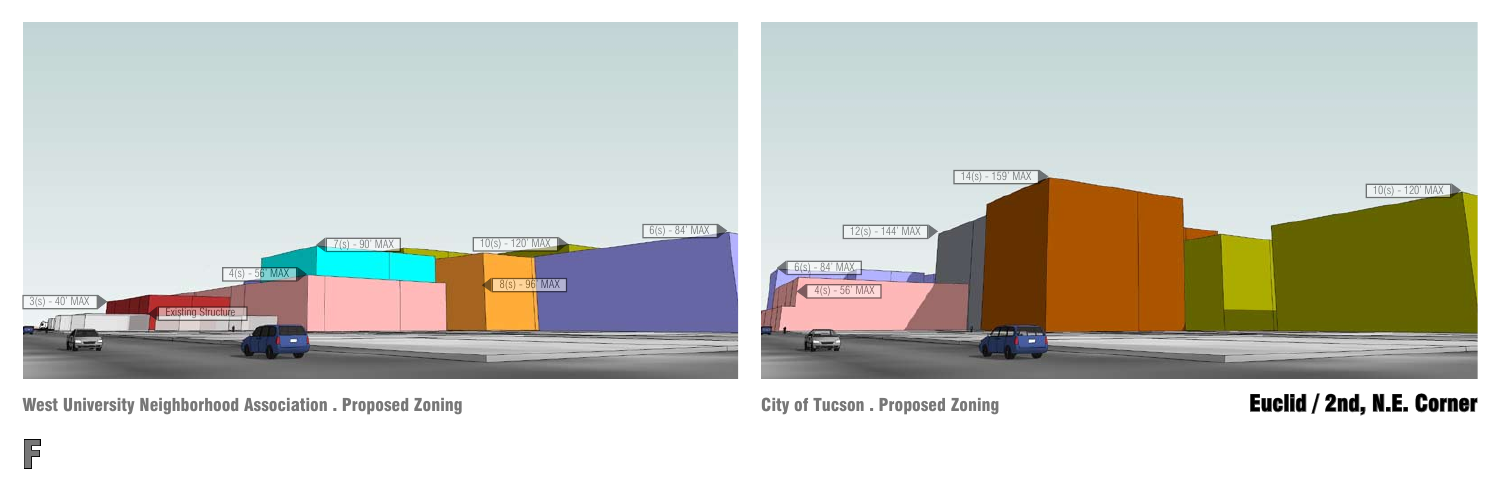F

# City of Tucson . Proposed Zoning **Euclid / 2nd, N.E. Corner**

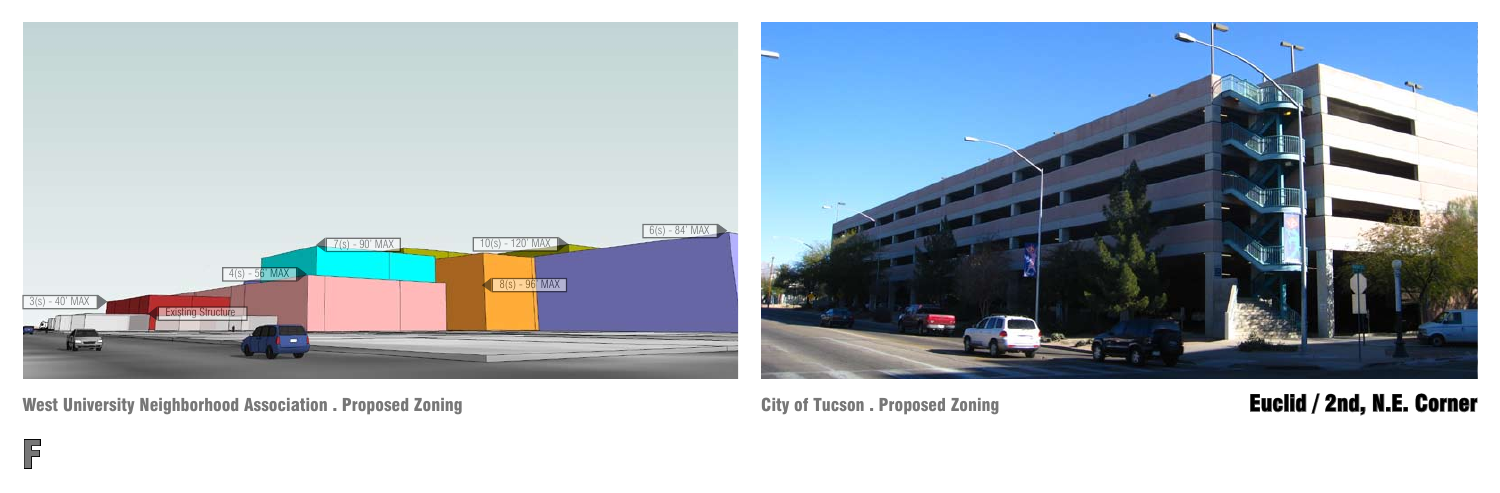F



### City of Tucson . Proposed Zoning **Euclid / 2nd, N.E. Corner**

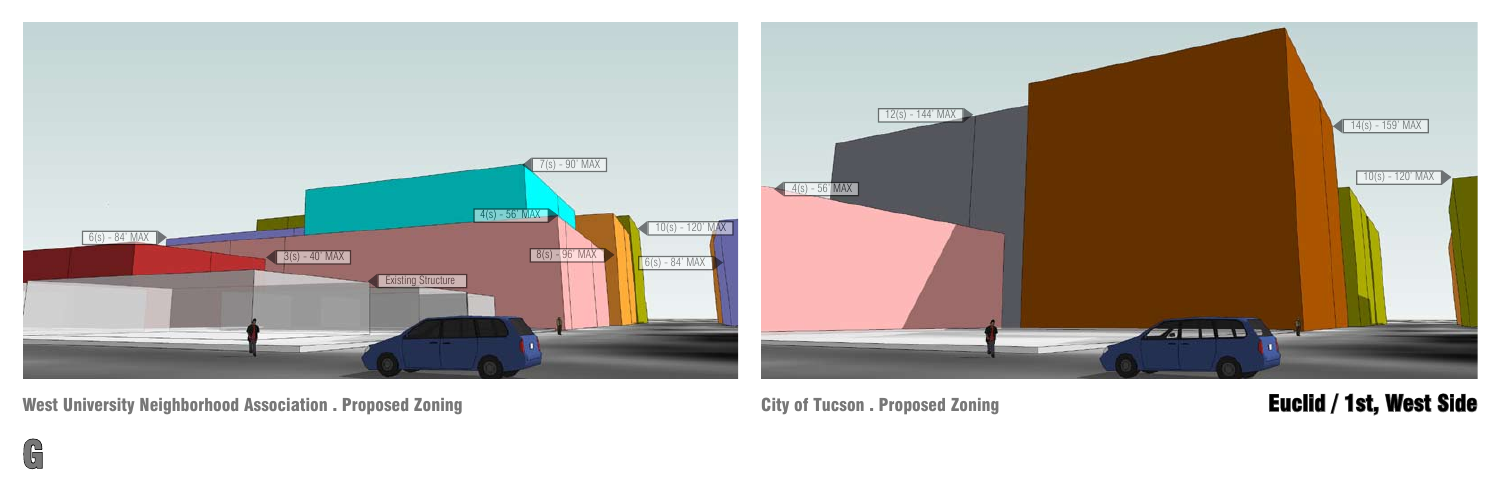

### City of Tucson . Proposed Zoning **Euclid / 1st, West Side**